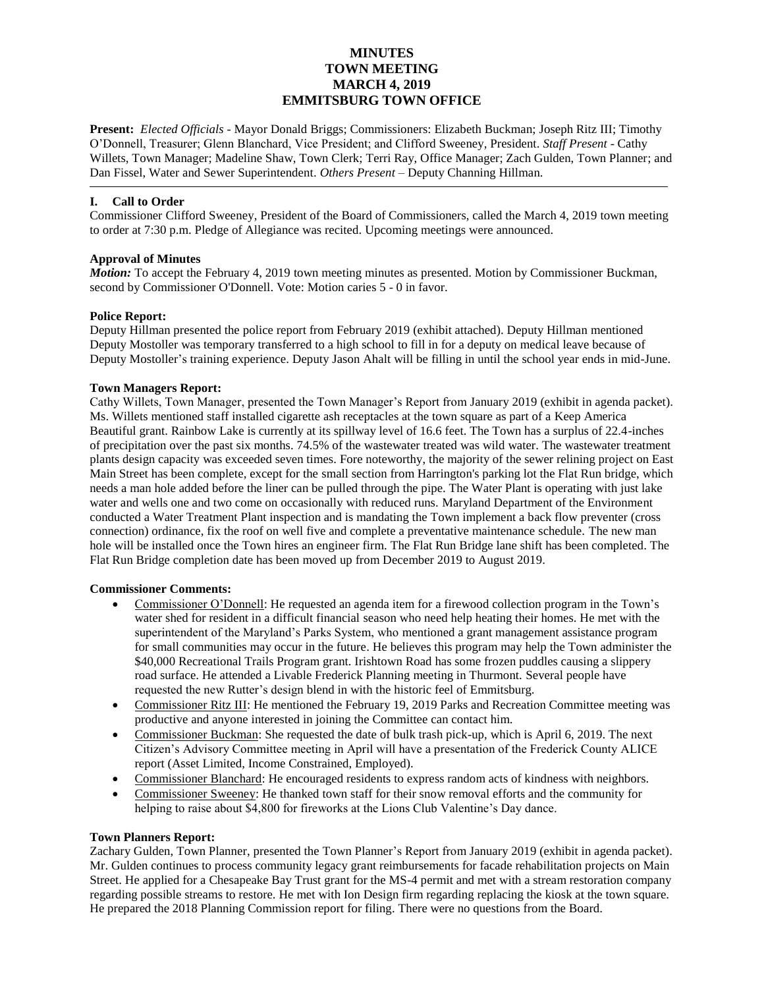# **MINUTES TOWN MEETING MARCH 4, 2019 EMMITSBURG TOWN OFFICE**

**Present:** *Elected Officials* - Mayor Donald Briggs; Commissioners: Elizabeth Buckman; Joseph Ritz III; Timothy O'Donnell, Treasurer; Glenn Blanchard, Vice President; and Clifford Sweeney, President. *Staff Present* - Cathy Willets, Town Manager; Madeline Shaw, Town Clerk; Terri Ray, Office Manager; Zach Gulden, Town Planner; and Dan Fissel, Water and Sewer Superintendent. *Others Present* – Deputy Channing Hillman.

## **I. Call to Order**

Commissioner Clifford Sweeney, President of the Board of Commissioners, called the March 4, 2019 town meeting to order at 7:30 p.m. Pledge of Allegiance was recited. Upcoming meetings were announced.

## **Approval of Minutes**

*Motion:* To accept the February 4, 2019 town meeting minutes as presented. Motion by Commissioner Buckman, second by Commissioner O'Donnell. Vote: Motion caries 5 - 0 in favor.

## **Police Report:**

Deputy Hillman presented the police report from February 2019 (exhibit attached). Deputy Hillman mentioned Deputy Mostoller was temporary transferred to a high school to fill in for a deputy on medical leave because of Deputy Mostoller's training experience. Deputy Jason Ahalt will be filling in until the school year ends in mid-June.

## **Town Managers Report:**

Cathy Willets, Town Manager, presented the Town Manager's Report from January 2019 (exhibit in agenda packet). Ms. Willets mentioned staff installed cigarette ash receptacles at the town square as part of a Keep America Beautiful grant. Rainbow Lake is currently at its spillway level of 16.6 feet. The Town has a surplus of 22.4-inches of precipitation over the past six months. 74.5% of the wastewater treated was wild water. The wastewater treatment plants design capacity was exceeded seven times. Fore noteworthy, the majority of the sewer relining project on East Main Street has been complete, except for the small section from Harrington's parking lot the Flat Run bridge, which needs a man hole added before the liner can be pulled through the pipe. The Water Plant is operating with just lake water and wells one and two come on occasionally with reduced runs. Maryland Department of the Environment conducted a Water Treatment Plant inspection and is mandating the Town implement a back flow preventer (cross connection) ordinance, fix the roof on well five and complete a preventative maintenance schedule. The new man hole will be installed once the Town hires an engineer firm. The Flat Run Bridge lane shift has been completed. The Flat Run Bridge completion date has been moved up from December 2019 to August 2019.

### **Commissioner Comments:**

- Commissioner O'Donnell: He requested an agenda item for a firewood collection program in the Town's water shed for resident in a difficult financial season who need help heating their homes. He met with the superintendent of the Maryland's Parks System, who mentioned a grant management assistance program for small communities may occur in the future. He believes this program may help the Town administer the \$40,000 Recreational Trails Program grant. Irishtown Road has some frozen puddles causing a slippery road surface. He attended a Livable Frederick Planning meeting in Thurmont. Several people have requested the new Rutter's design blend in with the historic feel of Emmitsburg.
- Commissioner Ritz III: He mentioned the February 19, 2019 Parks and Recreation Committee meeting was productive and anyone interested in joining the Committee can contact him.
- Commissioner Buckman: She requested the date of bulk trash pick-up, which is April 6, 2019. The next Citizen's Advisory Committee meeting in April will have a presentation of the Frederick County ALICE report (Asset Limited, Income Constrained, Employed).
- Commissioner Blanchard: He encouraged residents to express random acts of kindness with neighbors.
- Commissioner Sweeney: He thanked town staff for their snow removal efforts and the community for helping to raise about \$4,800 for fireworks at the Lions Club Valentine's Day dance.

### **Town Planners Report:**

Zachary Gulden, Town Planner, presented the Town Planner's Report from January 2019 (exhibit in agenda packet). Mr. Gulden continues to process community legacy grant reimbursements for facade rehabilitation projects on Main Street. He applied for a Chesapeake Bay Trust grant for the MS-4 permit and met with a stream restoration company regarding possible streams to restore. He met with Ion Design firm regarding replacing the kiosk at the town square. He prepared the 2018 Planning Commission report for filing. There were no questions from the Board.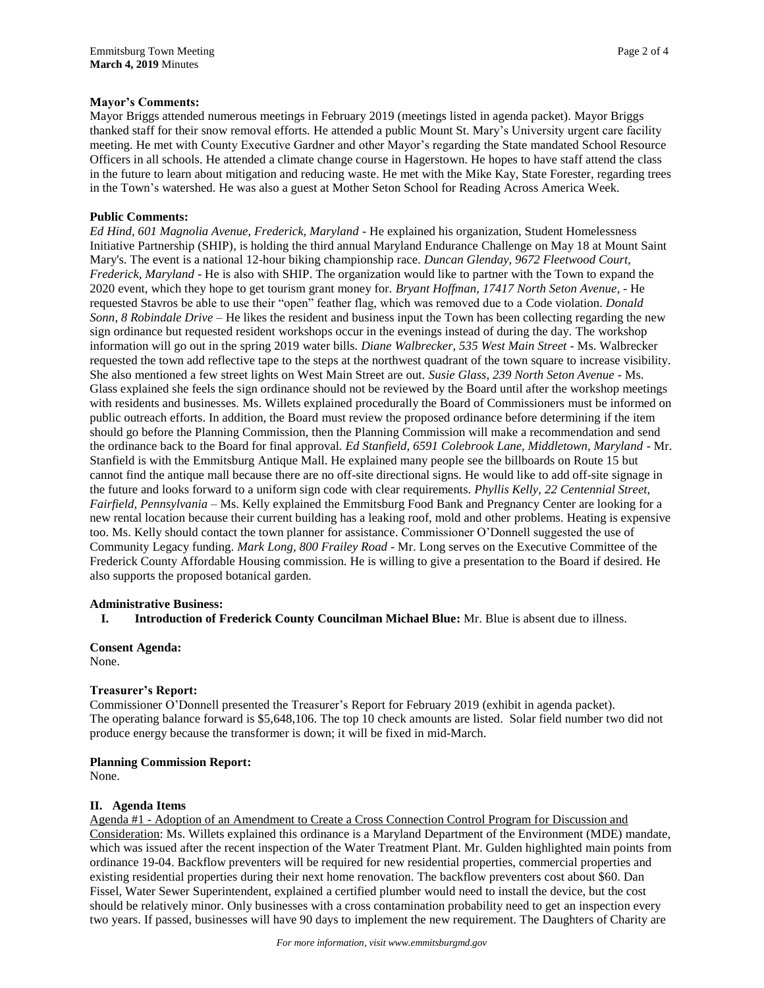Mayor Briggs attended numerous meetings in February 2019 (meetings listed in agenda packet). Mayor Briggs thanked staff for their snow removal efforts. He attended a public Mount St. Mary's University urgent care facility meeting. He met with County Executive Gardner and other Mayor's regarding the State mandated School Resource Officers in all schools. He attended a climate change course in Hagerstown. He hopes to have staff attend the class in the future to learn about mitigation and reducing waste. He met with the Mike Kay, State Forester, regarding trees in the Town's watershed. He was also a guest at Mother Seton School for Reading Across America Week.

# **Public Comments:**

*Ed Hind, 601 Magnolia Avenue, Frederick, Maryland -* He explained his organization, Student Homelessness Initiative Partnership (SHIP), is holding the third annual Maryland Endurance Challenge on May 18 at Mount Saint Mary's. The event is a national 12-hour biking championship race. *Duncan Glenday, 9672 Fleetwood Court, Frederick, Maryland* - He is also with SHIP. The organization would like to partner with the Town to expand the 2020 event, which they hope to get tourism grant money for. *Bryant Hoffman, 17417 North Seton Avenue,* - He requested Stavros be able to use their "open" feather flag, which was removed due to a Code violation. *Donald Sonn, 8 Robindale Drive* – He likes the resident and business input the Town has been collecting regarding the new sign ordinance but requested resident workshops occur in the evenings instead of during the day. The workshop information will go out in the spring 2019 water bills. *Diane Walbrecker, 535 West Main Street* - Ms. Walbrecker requested the town add reflective tape to the steps at the northwest quadrant of the town square to increase visibility. She also mentioned a few street lights on West Main Street are out. *Susie Glass, 239 North Seton Avenue* - Ms. Glass explained she feels the sign ordinance should not be reviewed by the Board until after the workshop meetings with residents and businesses. Ms. Willets explained procedurally the Board of Commissioners must be informed on public outreach efforts. In addition, the Board must review the proposed ordinance before determining if the item should go before the Planning Commission, then the Planning Commission will make a recommendation and send the ordinance back to the Board for final approval. *Ed Stanfield, 6591 Colebrook Lane, Middletown, Maryland* - Mr. Stanfield is with the Emmitsburg Antique Mall. He explained many people see the billboards on Route 15 but cannot find the antique mall because there are no off-site directional signs. He would like to add off-site signage in the future and looks forward to a uniform sign code with clear requirements. *Phyllis Kelly, 22 Centennial Street, Fairfield, Pennsylvania –* Ms. Kelly explained the Emmitsburg Food Bank and Pregnancy Center are looking for a new rental location because their current building has a leaking roof, mold and other problems. Heating is expensive too. Ms. Kelly should contact the town planner for assistance. Commissioner O'Donnell suggested the use of Community Legacy funding. *Mark Long, 800 Frailey Road* - Mr. Long serves on the Executive Committee of the Frederick County Affordable Housing commission. He is willing to give a presentation to the Board if desired. He also supports the proposed botanical garden.

# **Administrative Business:**

**I. Introduction of Frederick County Councilman Michael Blue:** Mr. Blue is absent due to illness.

**Consent Agenda:** None.

# **Treasurer's Report:**

Commissioner O'Donnell presented the Treasurer's Report for February 2019 (exhibit in agenda packet). The operating balance forward is \$5,648,106. The top 10 check amounts are listed. Solar field number two did not produce energy because the transformer is down; it will be fixed in mid-March.

# **Planning Commission Report:**

None.

# **II. Agenda Items**

Agenda #1 - Adoption of an Amendment to Create a Cross Connection Control Program for Discussion and Consideration: Ms. Willets explained this ordinance is a Maryland Department of the Environment (MDE) mandate, which was issued after the recent inspection of the Water Treatment Plant. Mr. Gulden highlighted main points from ordinance 19-04. Backflow preventers will be required for new residential properties, commercial properties and existing residential properties during their next home renovation. The backflow preventers cost about \$60. Dan Fissel, Water Sewer Superintendent, explained a certified plumber would need to install the device, but the cost should be relatively minor. Only businesses with a cross contamination probability need to get an inspection every two years. If passed, businesses will have 90 days to implement the new requirement. The Daughters of Charity are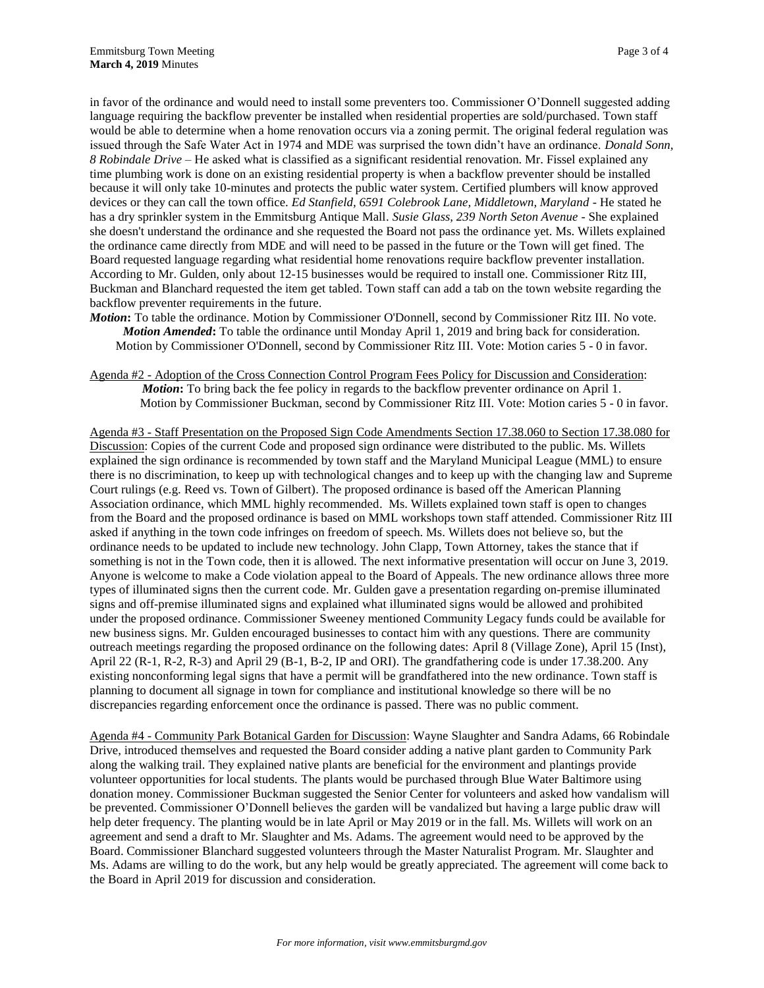in favor of the ordinance and would need to install some preventers too. Commissioner O'Donnell suggested adding language requiring the backflow preventer be installed when residential properties are sold/purchased. Town staff would be able to determine when a home renovation occurs via a zoning permit. The original federal regulation was issued through the Safe Water Act in 1974 and MDE was surprised the town didn't have an ordinance. *Donald Sonn, 8 Robindale Drive* – He asked what is classified as a significant residential renovation. Mr. Fissel explained any time plumbing work is done on an existing residential property is when a backflow preventer should be installed because it will only take 10-minutes and protects the public water system. Certified plumbers will know approved devices or they can call the town office. *Ed Stanfield, 6591 Colebrook Lane, Middletown, Maryland* - He stated he has a dry sprinkler system in the Emmitsburg Antique Mall. *Susie Glass, 239 North Seton Avenue* - She explained she doesn't understand the ordinance and she requested the Board not pass the ordinance yet. Ms. Willets explained the ordinance came directly from MDE and will need to be passed in the future or the Town will get fined. The Board requested language regarding what residential home renovations require backflow preventer installation. According to Mr. Gulden, only about 12-15 businesses would be required to install one. Commissioner Ritz III, Buckman and Blanchard requested the item get tabled. Town staff can add a tab on the town website regarding the backflow preventer requirements in the future.

- *Motion***:** To table the ordinance. Motion by Commissioner O'Donnell, second by Commissioner Ritz III. No vote. *Motion Amended***:** To table the ordinance until Monday April 1, 2019 and bring back for consideration. Motion by Commissioner O'Donnell, second by Commissioner Ritz III. Vote: Motion caries 5 - 0 in favor.
- Agenda #2 Adoption of the Cross Connection Control Program Fees Policy for Discussion and Consideration: *Motion***:** To bring back the fee policy in regards to the backflow preventer ordinance on April 1. Motion by Commissioner Buckman, second by Commissioner Ritz III. Vote: Motion caries 5 - 0 in favor.

Agenda #3 - Staff Presentation on the Proposed Sign Code Amendments Section 17.38.060 to Section 17.38.080 for Discussion: Copies of the current Code and proposed sign ordinance were distributed to the public. Ms. Willets explained the sign ordinance is recommended by town staff and the Maryland Municipal League (MML) to ensure there is no discrimination, to keep up with technological changes and to keep up with the changing law and Supreme Court rulings (e.g. Reed vs. Town of Gilbert). The proposed ordinance is based off the American Planning Association ordinance, which MML highly recommended. Ms. Willets explained town staff is open to changes from the Board and the proposed ordinance is based on MML workshops town staff attended. Commissioner Ritz III asked if anything in the town code infringes on freedom of speech. Ms. Willets does not believe so, but the ordinance needs to be updated to include new technology. John Clapp, Town Attorney, takes the stance that if something is not in the Town code, then it is allowed. The next informative presentation will occur on June 3, 2019. Anyone is welcome to make a Code violation appeal to the Board of Appeals. The new ordinance allows three more types of illuminated signs then the current code. Mr. Gulden gave a presentation regarding on-premise illuminated signs and off-premise illuminated signs and explained what illuminated signs would be allowed and prohibited under the proposed ordinance. Commissioner Sweeney mentioned Community Legacy funds could be available for new business signs. Mr. Gulden encouraged businesses to contact him with any questions. There are community outreach meetings regarding the proposed ordinance on the following dates: April 8 (Village Zone), April 15 (Inst), April 22 (R-1, R-2, R-3) and April 29 (B-1, B-2, IP and ORI). The grandfathering code is under 17.38.200. Any existing nonconforming legal signs that have a permit will be grandfathered into the new ordinance. Town staff is planning to document all signage in town for compliance and institutional knowledge so there will be no discrepancies regarding enforcement once the ordinance is passed. There was no public comment.

Agenda #4 - Community Park Botanical Garden for Discussion: Wayne Slaughter and Sandra Adams, 66 Robindale Drive, introduced themselves and requested the Board consider adding a native plant garden to Community Park along the walking trail. They explained native plants are beneficial for the environment and plantings provide volunteer opportunities for local students. The plants would be purchased through Blue Water Baltimore using donation money. Commissioner Buckman suggested the Senior Center for volunteers and asked how vandalism will be prevented. Commissioner O'Donnell believes the garden will be vandalized but having a large public draw will help deter frequency. The planting would be in late April or May 2019 or in the fall. Ms. Willets will work on an agreement and send a draft to Mr. Slaughter and Ms. Adams. The agreement would need to be approved by the Board. Commissioner Blanchard suggested volunteers through the Master Naturalist Program. Mr. Slaughter and Ms. Adams are willing to do the work, but any help would be greatly appreciated. The agreement will come back to the Board in April 2019 for discussion and consideration.